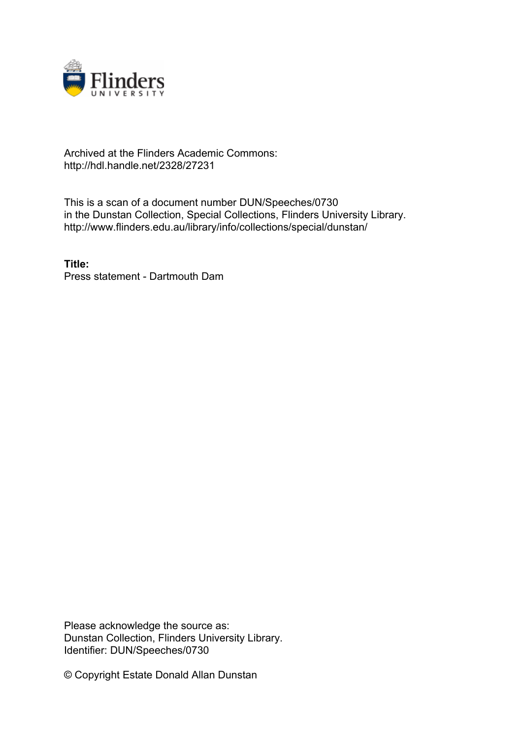

## Archived at the Flinders Academic Commons: http://hdl.handle.net/2328/27231

This is a scan of a document number DUN/Speeches/0730 in the Dunstan Collection, Special Collections, Flinders University Library. http://www.flinders.edu.au/library/info/collections/special/dunstan/

**Title:** Press statement - Dartmouth Dam

Please acknowledge the source as: Dunstan Collection, Flinders University Library. Identifier: DUN/Speeches/0730

© Copyright Estate Donald Allan Dunstan